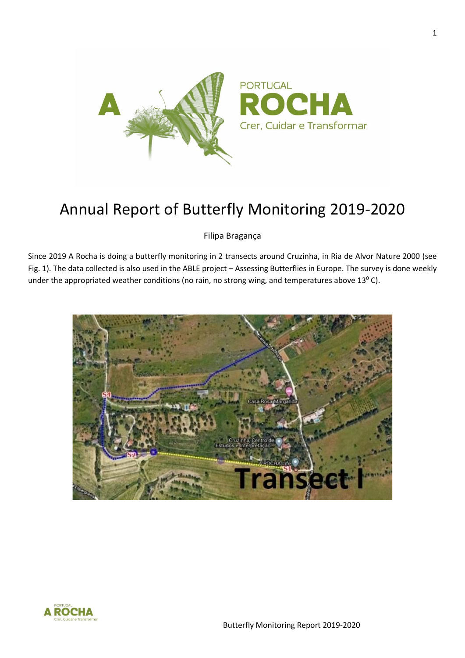

## Annual Report of Butterfly Monitoring 2019-2020

Filipa Bragança

Since 2019 A Rocha is doing a butterfly monitoring in 2 transects around Cruzinha, in Ria de Alvor Nature 2000 (see Fig. 1). The data collected is also used in the ABLE project – Assessing Butterflies in Europe. The survey is done weekly under the appropriated weather conditions (no rain, no strong wing, and temperatures above  $13^{\circ}$  C).



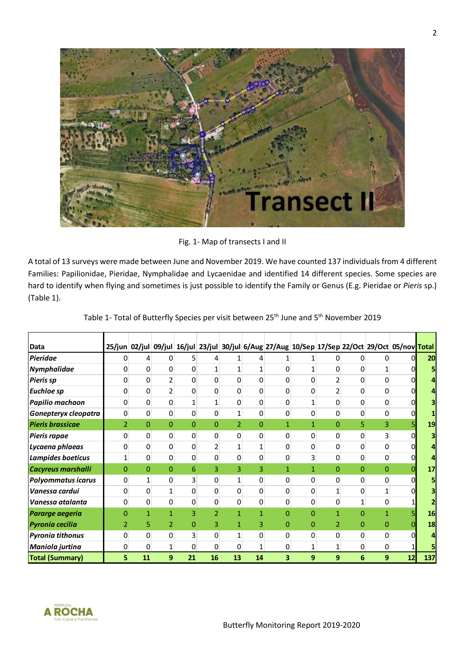

Fig. 1- Map of transects I and II

A total of 13 surveys were made between June and November 2019. We have counted 137 individuals from 4 different Families: Papilionidae, Pieridae, Nymphalidae and Lycaenidae and identified 14 different species. Some species are hard to identify when flying and sometimes is just possible to identify the Family or Genus (E.g. Pieridae or *Pieris* sp.) (Table 1).

| <b>Data</b>               |                |              |                |              |                |                |              | 25/jun 02/jul 09/jul 16/jul 23/jul 30/jul 6/Aug 27/Aug 10/Sep 17/Sep 22/Oct 29/Oct 05/nov Total |              |              |                |                |    |     |
|---------------------------|----------------|--------------|----------------|--------------|----------------|----------------|--------------|-------------------------------------------------------------------------------------------------|--------------|--------------|----------------|----------------|----|-----|
| <b>Pieridae</b>           | 0              | 4            | 0              | 5            | 4              |                | 4            |                                                                                                 |              | 0            | 0              | 0              |    | 20  |
| Nymphalidae               | 0              | 0            | 0              | 0            | 1              | $\mathbf{1}$   | $\mathbf{1}$ | 0                                                                                               | 1            | 0            | 0              |                |    |     |
| <b>Pieris sp</b>          | 0              | 0            | $\overline{2}$ | 0            | 0              | 0              | $\Omega$     | 0                                                                                               | 0            | 2            | 0              | 0              |    |     |
| <b>Euchloe sp</b>         | 0              | 0            | 2              | 0            | 0              | 0              | 0            | 0                                                                                               | 0            | 2            | 0              | 0              |    |     |
| Papilio machaon           | 0              | 0            | 0              | 1            | 1              | 0              | 0            | $\Omega$                                                                                        | 1            | 0            | 0              | 0              |    |     |
| Gonepteryx cleopatra      | 0              | 0            | $\pmb{0}$      | 0            | 0              | 1              | 0            | $\mathbf 0$                                                                                     | 0            | 0            | 0              | 0              |    |     |
| <b>Pieris brassicae</b>   | $\overline{2}$ | 0            | $\mathbf{0}$   | $\mathbf{0}$ | $\Omega$       | $\overline{2}$ | $\Omega$     | $\mathbf{1}$                                                                                    | $\mathbf{1}$ | 0            | 5              | 3              |    | 19  |
| Pieris rapae              | 0              | 0            | 0              | 0            | $\mathbf 0$    | 0              | 0            | $\mathbf 0$                                                                                     | 0            | 0            | 0              | $\overline{3}$ |    |     |
| Lycaena phlaeas           | 0              | 0            | 0              | 0            | $\overline{2}$ | 1              | 1            | $\Omega$                                                                                        | 0            | 0            | 0              | 0              |    |     |
| Lampides boeticus         | $\mathbf{1}$   | 0            | $\pmb{0}$      | 0            | $\mathbf 0$    | 0              | 0            | 0                                                                                               | 3            | 0            | 0              | 0              | n  |     |
| Cacyreus marshalli        | $\overline{0}$ | 0            | 0              | 6            | 3              | 3              | 3            | 1                                                                                               | $\mathbf{1}$ | $\Omega$     | $\Omega$       | 0              |    | 17  |
| <b>Polyommatus icarus</b> | 0              | 1            | 0              | 3            | $\mathbf 0$    | 1              | 0            | 0                                                                                               | 0            | 0            | 0              | 0              |    |     |
| Vanessa cardui            | 0              | 0            | $\mathbf{1}$   | 0            | 0              | 0              | 0            | 0                                                                                               | 0            | 1            | 0              |                |    |     |
| Vanessa atalanta          | 0              | 0            | $\mathbf 0$    | $\pmb{0}$    | $\mathbf 0$    | 0              | 0            | 0                                                                                               | 0            | 0            | 1              | 0              |    |     |
| <b>Pararge aegeria</b>    | $\Omega$       | $\mathbf{1}$ | $\mathbf{1}$   | 3            | $\overline{2}$ | $\mathbf{1}$   | 1            | $\Omega$                                                                                        | 0            | $\mathbf{1}$ | $\overline{0}$ | 1              |    | 16  |
| <b>Pyronia cecilia</b>    | $\overline{2}$ | 5            | $\overline{2}$ | 0            | 3              | 1              | 3            | 0                                                                                               | 0            | 2            | 0              | 0              |    | 18  |
| <b>Pyronia tithonus</b>   | 0              | 0            | 0              | 3            | 0              | 1              | 0            | 0                                                                                               | 0            | 0            | 0              | 0              |    |     |
| Maniola jurtina           | 0              | 0            | $\mathbf{1}$   | 0            | $\mathbf 0$    | 0              | $\mathbf{1}$ | 0                                                                                               | 1            | 1            | 0              | 0              |    |     |
| <b>Total (Summary)</b>    | 5              | 11           | 9              | 21           | 16             | 13             | 14           | 3                                                                                               | 9            | 9            | 6              | 9              | 12 | 137 |

Table 1- Total of Butterfly Species per visit between 25<sup>th</sup> June and 5<sup>th</sup> November 2019

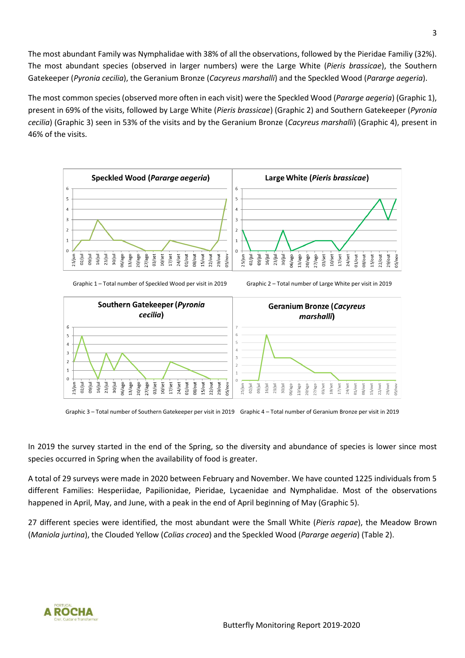The most abundant Family was Nymphalidae with 38% of all the observations, followed by the Pieridae Familiy (32%). The most abundant species (observed in larger numbers) were the Large White (*Pieris brassicae*), the Southern Gatekeeper (*Pyronia cecilia*), the Geranium Bronze (*Cacyreus marshalli*) and the Speckled Wood (*Pararge aegeria*).

The most common species (observed more often in each visit) were the Speckled Wood (*Pararge aegeria*) (Graphic 1), present in 69% of the visits, followed by Large White (*Pieris brassicae*) (Graphic 2) and Southern Gatekeeper (*Pyronia cecilia*) (Graphic 3) seen in 53% of the visits and by the Geranium Bronze (*Cacyreus marshalli*) (Graphic 4), present in 46% of the visits.





Graphic 3 – Total number of Southern Gatekeeper per visit in 2019 Graphic 4 – Total number of Geranium Bronze per visit in 2019

In 2019 the survey started in the end of the Spring, so the diversity and abundance of species is lower since most species occurred in Spring when the availability of food is greater.

A total of 29 surveys were made in 2020 between February and November. We have counted 1225 individuals from 5 different Families: Hesperiidae, Papilionidae, Pieridae, Lycaenidae and Nymphalidae. Most of the observations happened in April, May, and June, with a peak in the end of April beginning of May (Graphic 5).

27 different species were identified, the most abundant were the Small White (*Pieris rapae*), the Meadow Brown (*Maniola jurtina*), the Clouded Yellow (*Colias crocea*) and the Speckled Wood (*Pararge aegeria*) (Table 2).

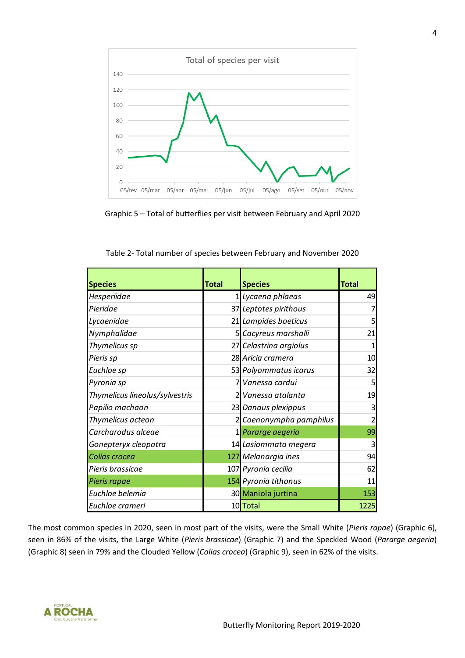

Graphic 5 – Total of butterflies per visit between February and April 2020

| <b>Species</b>                 | <b>Total</b> | <b>Species</b>          | <b>Total</b> |
|--------------------------------|--------------|-------------------------|--------------|
| Hesperiidae                    |              | 1 Lycaena phlaeas       | 49           |
| Pieridae                       |              | 37 Leptotes pirithous   | 7            |
| Lycaenidae                     |              | 21 Lampides boeticus    | 5            |
| Nymphalidae                    |              | 5 Cacyreus marshalli    | 21           |
| Thymelicus sp                  |              | 27 Celastrina argiolus  | 1            |
| Pieris sp                      |              | 28 Aricia cramera       | 10           |
| Euchloe sp                     |              | 53 Polyommatus icarus   | 32           |
| Pyronia sp                     |              | Vanessa cardui          | 5            |
| Thymelicus lineolus/sylvestris |              | 2 Vanessa atalanta      | 19           |
| Papilio machaon                |              | 23 Danaus plexippus     | 3            |
| Thymelicus acteon              |              | 2 Coenonympha pamphilus | 2            |
| Carcharodus alceae             |              | 1 Pararge aegeria       | 99           |
| Gonepteryx cleopatra           |              | 14 Lasiommata megera    | 3            |
| Colias crocea                  |              | 127 Melanargia ines     | 94           |
| Pieris brassicae               |              | 107 Pyronia cecilia     | 62           |
| Pieris rapae                   |              | 154 Pyronia tithonus    | 11           |
| Euchloe belemia                |              | 30 Maniola jurtina      | 153          |
| Euchloe crameri                |              | 10 Total                | 1225         |

Table 2- Total number of species between February and November 2020

The most common species in 2020, seen in most part of the visits, were the Small White (*Pieris rapae*) (Graphic 6), seen in 86% of the visits, the Large White (*Pieris brassicae*) (Graphic 7) and the Speckled Wood (*Pararge aegeria*) (Graphic 8) seen in 79% and the Clouded Yellow (*Colias crocea*) (Graphic 9), seen in 62% of the visits.